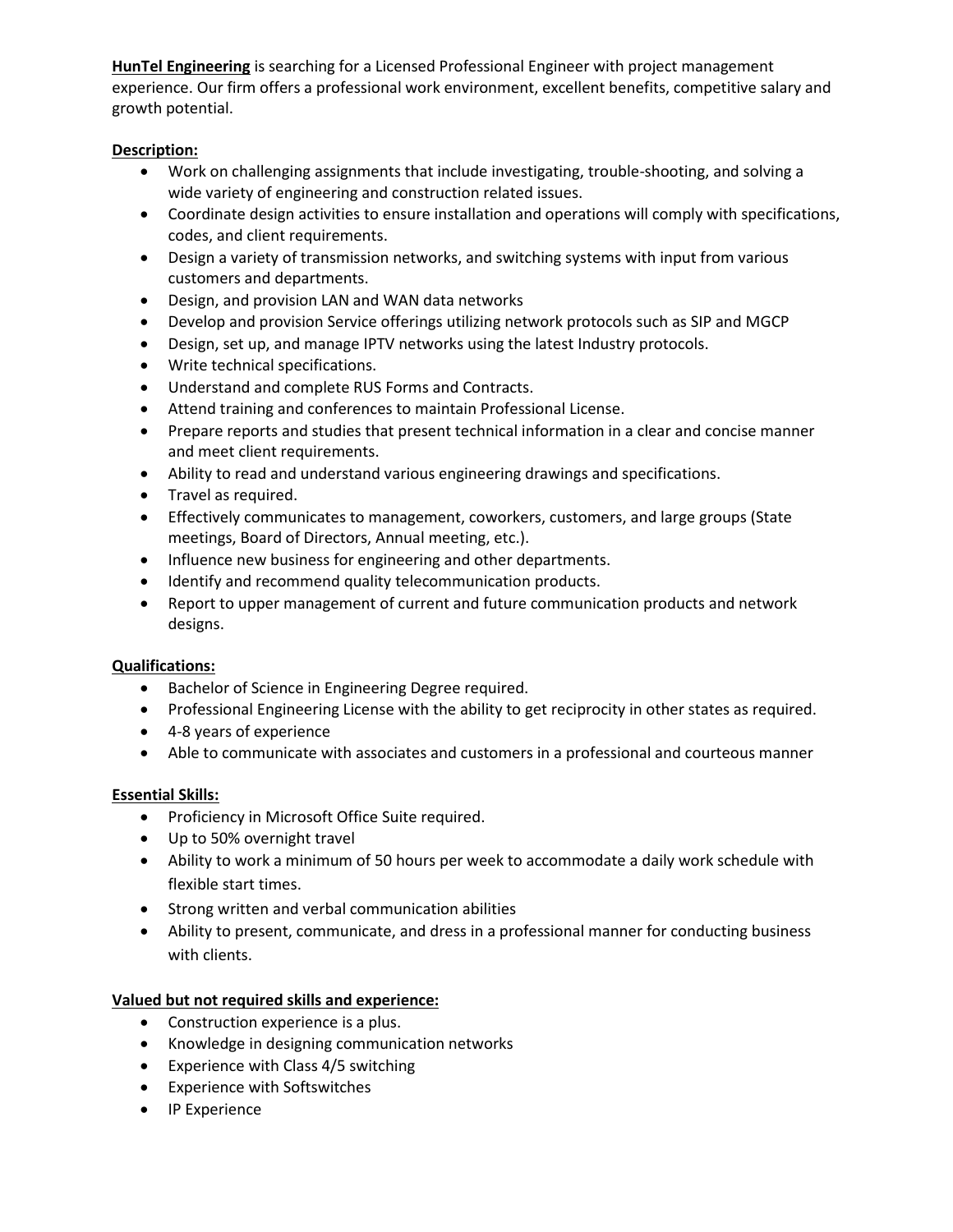**HunTel Engineering** is searching for a Licensed Professional Engineer with project management experience. Our firm offers a professional work environment, excellent benefits, competitive salary and growth potential.

## **Description:**

- Work on challenging assignments that include investigating, trouble-shooting, and solving a wide variety of engineering and construction related issues.
- Coordinate design activities to ensure installation and operations will comply with specifications, codes, and client requirements.
- Design a variety of transmission networks, and switching systems with input from various customers and departments.
- Design, and provision LAN and WAN data networks
- Develop and provision Service offerings utilizing network protocols such as SIP and MGCP
- Design, set up, and manage IPTV networks using the latest Industry protocols.
- Write technical specifications.
- Understand and complete RUS Forms and Contracts.
- Attend training and conferences to maintain Professional License.
- Prepare reports and studies that present technical information in a clear and concise manner and meet client requirements.
- Ability to read and understand various engineering drawings and specifications.
- **•** Travel as required.
- Effectively communicates to management, coworkers, customers, and large groups (State meetings, Board of Directors, Annual meeting, etc.).
- Influence new business for engineering and other departments.
- $\bullet$  Identify and recommend quality telecommunication products.
- Report to upper management of current and future communication products and network designs.

## **Qualifications:**

- Bachelor of Science in Engineering Degree required.
- Professional Engineering License with the ability to get reciprocity in other states as required.
- 4-8 years of experience
- Able to communicate with associates and customers in a professional and courteous manner

## **Essential Skills:**

- **•** Proficiency in Microsoft Office Suite required.
- Up to 50% overnight travel
- Ability to work a minimum of 50 hours per week to accommodate a daily work schedule with flexible start times.
- Strong written and verbal communication abilities
- Ability to present, communicate, and dress in a professional manner for conducting business with clients.

## **Valued but not required skills and experience:**

- Construction experience is a plus.
- Knowledge in designing communication networks
- Experience with Class 4/5 switching
- Experience with Softswitches
- IP Experience